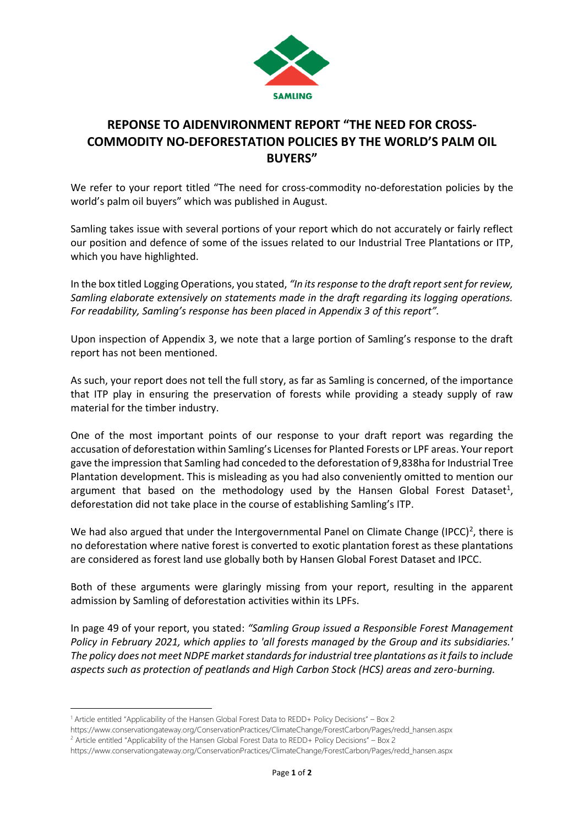

## **REPONSE TO AIDENVIRONMENT REPORT "THE NEED FOR CROSS-COMMODITY NO-DEFORESTATION POLICIES BY THE WORLD'S PALM OIL BUYERS"**

We refer to your report titled "The need for cross-commodity no-deforestation policies by the world's palm oil buyers" which was published in August.

Samling takes issue with several portions of your report which do not accurately or fairly reflect our position and defence of some of the issues related to our Industrial Tree Plantations or ITP, which you have highlighted.

In the box titled Logging Operations, you stated, *"In its response to the draft report sent for review, Samling elaborate extensively on statements made in the draft regarding its logging operations. For readability, Samling's response has been placed in Appendix 3 of this report".*

Upon inspection of Appendix 3, we note that a large portion of Samling's response to the draft report has not been mentioned.

As such, your report does not tell the full story, as far as Samling is concerned, of the importance that ITP play in ensuring the preservation of forests while providing a steady supply of raw material for the timber industry.

One of the most important points of our response to your draft report was regarding the accusation of deforestation within Samling's Licenses for Planted Forests or LPF areas. Your report gave the impression that Samling had conceded to the deforestation of 9,838ha for Industrial Tree Plantation development. This is misleading as you had also conveniently omitted to mention our argument that based on the methodology used by the Hansen Global Forest Dataset<sup>1</sup>, deforestation did not take place in the course of establishing Samling's ITP.

We had also argued that under the Intergovernmental Panel on Climate Change (IPCC)<sup>2</sup>, there is no deforestation where native forest is converted to exotic plantation forest as these plantations are considered as forest land use globally both by Hansen Global Forest Dataset and IPCC.

Both of these arguments were glaringly missing from your report, resulting in the apparent admission by Samling of deforestation activities within its LPFs.

In page 49 of your report, you stated: *"Samling Group issued a Responsible Forest Management Policy in February 2021, which applies to 'all forests managed by the Group and its subsidiaries.' The policy does not meet NDPE market standards for industrial tree plantations as it fails to include aspects such as protection of peatlands and High Carbon Stock (HCS) areas and zero-burning.* 

<sup>1</sup> Article entitled "Applicability of the Hansen Global Forest Data to REDD+ Policy Decisions" – Box 2

https://www.conservationgateway.org/ConservationPractices/ClimateChange/ForestCarbon/Pages/redd\_hansen.aspx

<sup>2</sup> Article entitled "Applicability of the Hansen Global Forest Data to REDD+ Policy Decisions" – Box 2